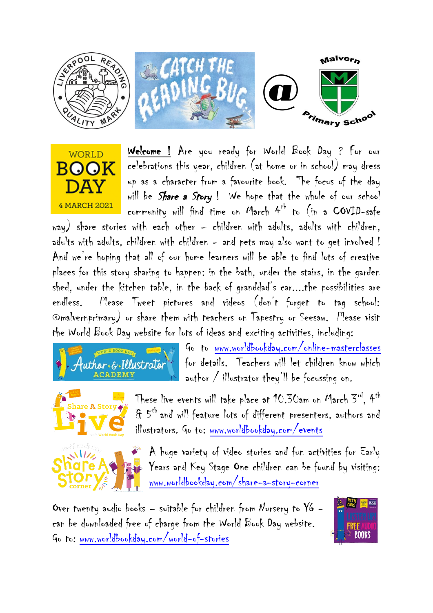



Welcome ! Are you ready for World Book Day ? For our celebrations this year, children (at home or in school) may dress up as a character from a favourite book. The focus of the day will be Share a Story! We hope that the whole of our school community will find time on March  $4^{th}$  to (in a COVID-safe

way) share stories with each other – children with adults, adults with children, adults with adults, children with children – and pets may also want to get involved ! And we're hoping that all of our home learners will be able to find lots of creative places for this story sharing to happen: in the bath, under the stairs, in the garden shed, under the kitchen table, in the back of granddad's car....the possibilities are endless. Please Tweet pictures and videos (don't forget to tag school: @malvernprimary) or share them with teachers on Tapestry or Seesaw. Please visit the World Book Day website for lots of ideas and exciting activities, including:



Go to [www.worldbookday.com/online-masterclasses](http://www.worldbookday.com/online-masterclasses) for details. Teachers will let children know which author / illustrator they'll be focussing on.



These live events will take place at 10.30am on March 3rd, 4th & 5th and will feature lots of different presenters, authors and illustrators. Go to: [www.worldbookday.com/events](http://www.worldbookday.com/events)



A huge variety of video stories and fun activities for Early Years and Key Stage One children can be found by visiting: [www.worldbookday.com/share-a-story-corner](http://www.worldbookday.com/share-a-story-corner)

Over twenty audio books – suitable for children from Nursery to Y6 can be downloaded free of charge from the World Book Day website. Go to: [www.worldbookday.com/world-of-stories](http://www.worldbookday.com/world-of-stories)